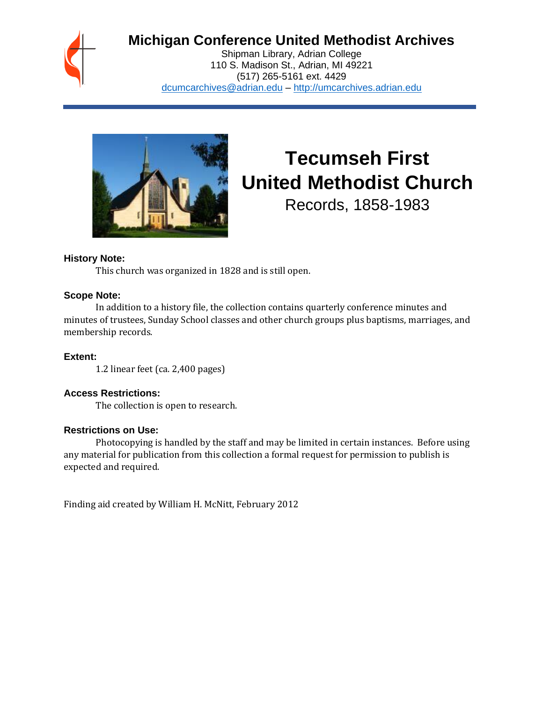

# **Michigan Conference United Methodist Archives**

Shipman Library, Adrian College 110 S. Madison St., Adrian, MI 49221 (517) 265-5161 ext. 4429 [dcumcarchives@adrian.edu](mailto:dcumcarchives@adrian.edu) – [http://umcarchives.adrian.edu](http://umcarchives.adrian.edu/)



# **Tecumseh First United Methodist Church**

Records, 1858-1983

## **History Note:**

This church was organized in 1828 and is still open.

#### **Scope Note:**

In addition to a history file, the collection contains quarterly conference minutes and minutes of trustees, Sunday School classes and other church groups plus baptisms, marriages, and membership records.

**Extent:**

1.2 linear feet (ca. 2,400 pages)

## **Access Restrictions:**

The collection is open to research.

#### **Restrictions on Use:**

Photocopying is handled by the staff and may be limited in certain instances. Before using any material for publication from this collection a formal request for permission to publish is expected and required.

Finding aid created by William H. McNitt, February 2012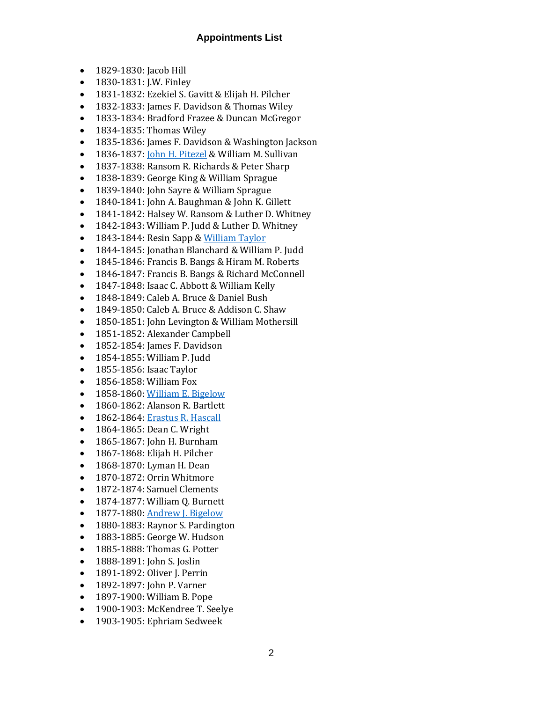#### **Appointments List**

- 1829-1830: Jacob Hill
- 1830-1831: J.W. Finley
- 1831-1832: Ezekiel S. Gavitt & Elijah H. Pilcher
- 1832-1833: James F. Davidson & Thomas Wiley
- 1833-1834: Bradford Frazee & Duncan McGregor
- 1834-1835: Thomas Wiley
- 1835-1836: James F. Davidson & Washington Jackson
- 1836-1837[: John H. Pitezel](http://umcarchives.adrian.edu/clergy/pitezeljh.php) & William M. Sullivan
- 1837-1838: Ransom R. Richards & Peter Sharp
- 1838-1839: George King & William Sprague
- 1839-1840: John Sayre & William Sprague
- 1840-1841: John A. Baughman & John K. Gillett
- 1841-1842: Halsey W. Ransom & Luther D. Whitney
- 1842-1843: William P. Judd & Luther D. Whitney
- 1843-1844: Resin Sapp [& William Taylor](http://umcarchives.adrian.edu/clergy/taylorw.php)
- 1844-1845: Jonathan Blanchard & William P. Judd
- 1845-1846: Francis B. Bangs & Hiram M. Roberts
- 1846-1847: Francis B. Bangs & Richard McConnell
- 1847-1848: Isaac C. Abbott & William Kelly
- 1848-1849: Caleb A. Bruce & Daniel Bush
- 1849-1850: Caleb A. Bruce & Addison C. Shaw
- 1850-1851: John Levington & William Mothersill
- 1851-1852: Alexander Campbell
- 1852-1854: James F. Davidson
- 1854-1855: William P. Judd
- 1855-1856: Isaac Taylor
- 1856-1858: William Fox
- 1858-1860[: William E. Bigelow](http://umcarchives.adrian.edu/clergy/bigelowwe.php)
- 1860-1862: Alanson R. Bartlett
- 1862-1864[: Erastus R. Hascall](http://umcarchives.adrian.edu/clergy/hascaller.php)
- 1864-1865: Dean C. Wright
- 1865-1867: John H. Burnham
- 1867-1868: Elijah H. Pilcher
- 1868-1870: Lyman H. Dean
- 1870-1872: Orrin Whitmore
- 1872-1874: Samuel Clements
- 1874-1877: William Q. Burnett
- 1877-1880[: Andrew J. Bigelow](http://umcarchives.adrian.edu/clergy/bigelowaj.php)
- 1880-1883: Raynor S. Pardington
- 1883-1885: George W. Hudson
- 1885-1888: Thomas G. Potter
- 1888-1891: John S. Joslin
- 1891-1892: Oliver J. Perrin
- 1892-1897: John P. Varner
- 1897-1900: William B. Pope
- 1900-1903: McKendree T. Seelye
- 1903-1905: Ephriam Sedweek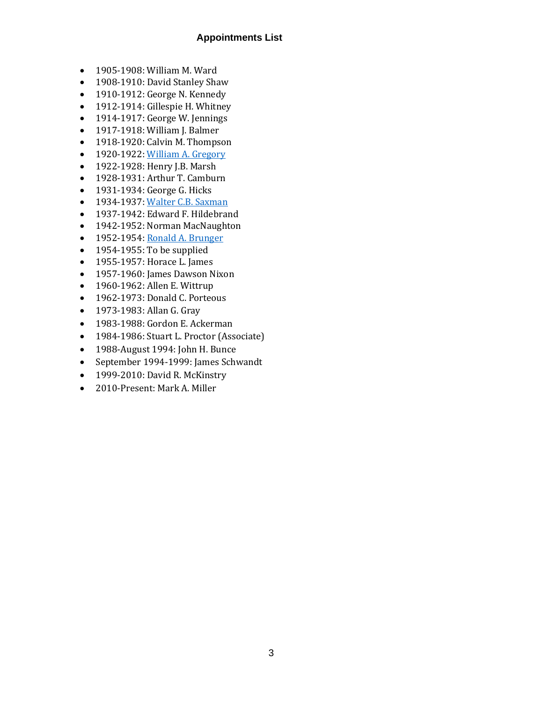#### **Appointments List**

- 1905-1908: William M. Ward
- 1908-1910: David Stanley Shaw
- 1910-1912: George N. Kennedy
- 1912-1914: Gillespie H. Whitney
- 1914-1917: George W. Jennings
- 1917-1918: William J. Balmer
- 1918-1920: Calvin M. Thompson
- 1920-1922[: William A. Gregory](http://umcarchives.adrian.edu/clergy/gregorywa.php)
- 1922-1928: Henry J.B. Marsh
- 1928-1931: Arthur T. Camburn
- 1931-1934: George G. Hicks
- 1934-1937[: Walter C.B. Saxman](http://umcarchives.adrian.edu/clergy/saxmanwcb.php)
- 1937-1942: Edward F. Hildebrand
- 1942-1952: Norman MacNaughton
- 1952-1954[: Ronald A. Brunger](../fa/brungerrapapers.pdf)
- 1954-1955: To be supplied
- 1955-1957: Horace L. James
- 1957-1960: James Dawson Nixon
- 1960-1962: Allen E. Wittrup
- 1962-1973: Donald C. Porteous
- 1973-1983: Allan G. Gray
- 1983-1988: Gordon E. Ackerman
- 1984-1986: Stuart L. Proctor (Associate)
- 1988-August 1994: John H. Bunce
- September 1994-1999: James Schwandt
- 1999-2010: David R. McKinstry
- 2010-Present: Mark A. Miller